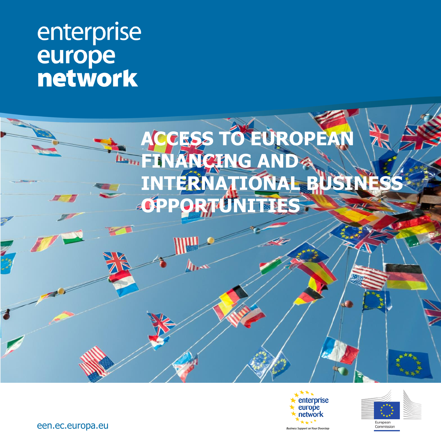# enterprise **LE RÉSEAU EN 1888 E**  $\mathbf{E}$







een.ec.europa.eu